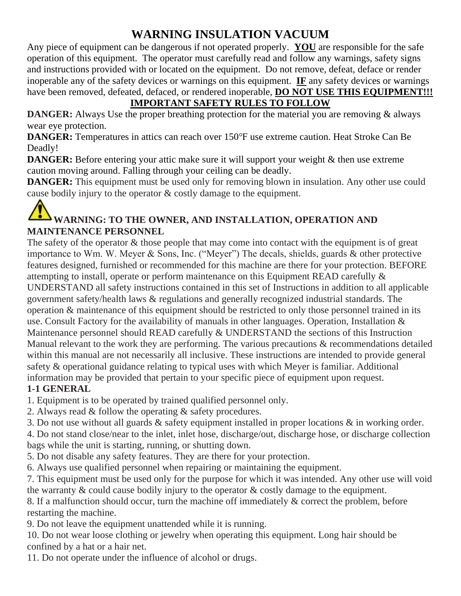### **WARNING INSULATION VACUUM**

Any piece of equipment can be dangerous if not operated properly. **YOU** are responsible for the safe operation of this equipment. The operator must carefully read and follow any warnings, safety signs and instructions provided with or located on the equipment. Do not remove, defeat, deface or render inoperable any of the safety devices or warnings on this equipment. **IF** any safety devices or warnings have been removed, defeated, defaced, or rendered inoperable, **DO NOT USE THIS EQUIPMENT!!!** 

#### **IMPORTANT SAFETY RULES TO FOLLOW**

**DANGER:** Always Use the proper breathing protection for the material you are removing & always wear eye protection.

**DANGER:** Temperatures in attics can reach over 150°F use extreme caution. Heat Stroke Can Be Deadly!

**DANGER:** Before entering your attic make sure it will support your weight & then use extreme caution moving around. Falling through your ceiling can be deadly.

**DANGER:** This equipment must be used only for removing blown in insulation. Any other use could cause bodily injury to the operator & costly damage to the equipment.

#### **WARNING: TO THE OWNER, AND INSTALLATION, OPERATION AND MAINTENANCE PERSONNEL**

The safety of the operator  $\&$  those people that may come into contact with the equipment is of great importance to Wm. W. Meyer & Sons, Inc. ("Meyer") The decals, shields, guards & other protective features designed, furnished or recommended for this machine are there for your protection. BEFORE attempting to install, operate or perform maintenance on this Equipment READ carefully & UNDERSTAND all safety instructions contained in this set of Instructions in addition to all applicable government safety/health laws & regulations and generally recognized industrial standards. The operation & maintenance of this equipment should be restricted to only those personnel trained in its use. Consult Factory for the availability of manuals in other languages. Operation, Installation & Maintenance personnel should READ carefully & UNDERSTAND the sections of this Instruction Manual relevant to the work they are performing. The various precautions & recommendations detailed within this manual are not necessarily all inclusive. These instructions are intended to provide general safety & operational guidance relating to typical uses with which Meyer is familiar. Additional information may be provided that pertain to your specific piece of equipment upon request. **1-1 GENERAL**

1. Equipment is to be operated by trained qualified personnel only.

2. Always read & follow the operating & safety procedures.

3. Do not use without all guards & safety equipment installed in proper locations & in working order.

4. Do not stand close/near to the inlet, inlet hose, discharge/out, discharge hose, or discharge collection bags while the unit is starting, running, or shutting down.

5. Do not disable any safety features. They are there for your protection.

6. Always use qualified personnel when repairing or maintaining the equipment.

7. This equipment must be used only for the purpose for which it was intended. Any other use will void the warranty & could cause bodily injury to the operator & costly damage to the equipment.

8. If a malfunction should occur, turn the machine off immediately & correct the problem, before restarting the machine.

9. Do not leave the equipment unattended while it is running.

10. Do not wear loose clothing or jewelry when operating this equipment. Long hair should be confined by a hat or a hair net.

11. Do not operate under the influence of alcohol or drugs.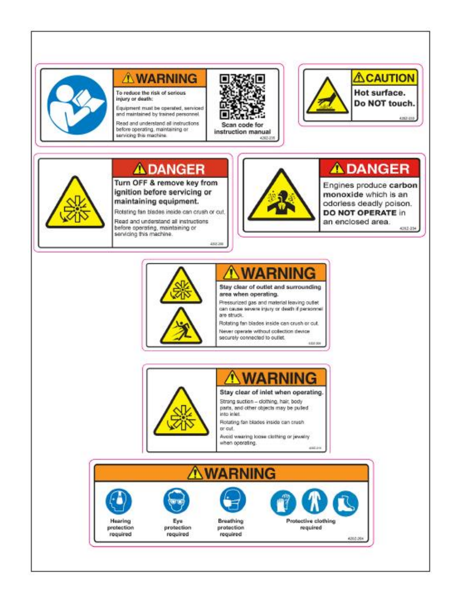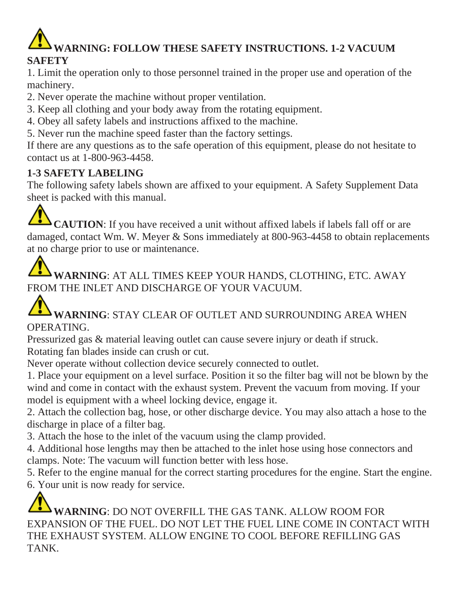## **WARNING: FOLLOW THESE SAFETY INSTRUCTIONS. 1-2 VACUUM SAFETY**

1. Limit the operation only to those personnel trained in the proper use and operation of the machinery.

2. Never operate the machine without proper ventilation.

3. Keep all clothing and your body away from the rotating equipment.

- 4. Obey all safety labels and instructions affixed to the machine.
- 5. Never run the machine speed faster than the factory settings.

If there are any questions as to the safe operation of this equipment, please do not hesitate to contact us at 1-800-963-4458.

#### **1-3 SAFETY LABELING**

The following safety labels shown are affixed to your equipment. A Safety Supplement Data sheet is packed with this manual.

**CAUTION**: If you have received a unit without affixed labels if labels fall off or are damaged, contact Wm. W. Meyer & Sons immediately at 800-963-4458 to obtain replacements at no charge prior to use or maintenance.

**WARNING**: AT ALL TIMES KEEP YOUR HANDS, CLOTHING, ETC. AWAY FROM THE INLET AND DISCHARGE OF YOUR VACUUM.

#### **WARNING**: STAY CLEAR OF OUTLET AND SURROUNDING AREA WHEN OPERATING.

Pressurized gas & material leaving outlet can cause severe injury or death if struck. Rotating fan blades inside can crush or cut.

Never operate without collection device securely connected to outlet.

1. Place your equipment on a level surface. Position it so the filter bag will not be blown by the wind and come in contact with the exhaust system. Prevent the vacuum from moving. If your model is equipment with a wheel locking device, engage it.

2. Attach the collection bag, hose, or other discharge device. You may also attach a hose to the discharge in place of a filter bag.

3. Attach the hose to the inlet of the vacuum using the clamp provided.

4. Additional hose lengths may then be attached to the inlet hose using hose connectors and clamps. Note: The vacuum will function better with less hose.

5. Refer to the engine manual for the correct starting procedures for the engine. Start the engine.

6. Your unit is now ready for service.

**WARNING**: DO NOT OVERFILL THE GAS TANK. ALLOW ROOM FOR EXPANSION OF THE FUEL. DO NOT LET THE FUEL LINE COME IN CONTACT WITH THE EXHAUST SYSTEM. ALLOW ENGINE TO COOL BEFORE REFILLING GAS **TANK**